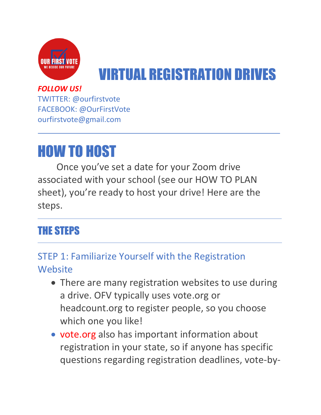

# VIRTUAL REGISTRATION DRIVES

#### *FOLLOW US!*

TWITTER: @ourfirstvote FACEBOOK: @OurFirstVote ourfirstvote@gmail.com

# HOW TO HOST

Once you've set a date for your Zoom drive associated with your school (see our HOW TO PLAN sheet), you're ready to host your drive! Here are the steps.

## THE STEPS

## STEP 1: Familiarize Yourself with the Registration **Website**

- There are many registration websites to use during a drive. OFV typically uses vote.org or headcount.org to register people, so you choose which one you like!
- vote.org also has important information about registration in your state, so if anyone has specific questions regarding registration deadlines, vote-by-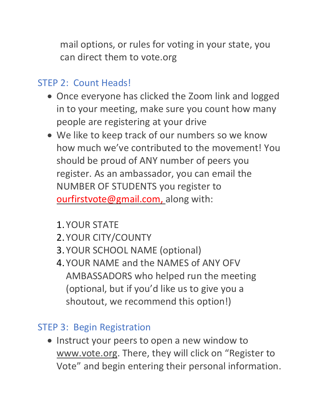mail options, or rules for voting in your state, you can direct them to vote.org

### STEP 2: Count Heads!

- Once everyone has clicked the Zoom link and logged in to your meeting, make sure you count how many people are registering at your drive
- We like to keep track of our numbers so we know how much we've contributed to the movement! You should be proud of ANY number of peers you register. As an ambassador, you can email the NUMBER OF STUDENTS you register to [ourfirstvote@gmail.com,](mailto:ourfirstvote@gmail.com) along with:
	- 1. YOUR STATE
	- 2. YOUR CITY/COUNTY
	- 3. YOUR SCHOOL NAME (optional)
	- 4. YOUR NAME and the NAMES of ANY OFV AMBASSADORS who helped run the meeting (optional, but if you'd like us to give you a shoutout, we recommend this option!)

### STEP 3: Begin Registration

• Instruct your peers to open a new window to [www.vote.org](http://www.vote.org/). There, they will click on "Register to Vote" and begin entering their personal information.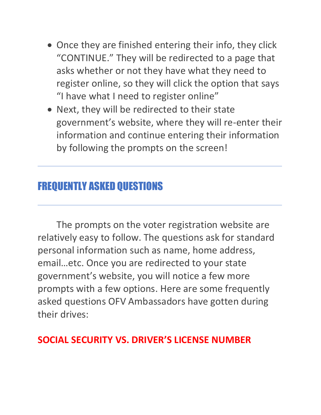- Once they are finished entering their info, they click "CONTINUE." They will be redirected to a page that asks whether or not they have what they need to register online, so they will click the option that says "I have what I need to register online"
- Next, they will be redirected to their state government's website, where they will re-enter their information and continue entering their information by following the prompts on the screen!

## FREQUENTLY ASKED QUESTIONS

The prompts on the voter registration website are relatively easy to follow. The questions ask for standard personal information such as name, home address, email…etc. Once you are redirected to your state government's website, you will notice a few more prompts with a few options. Here are some frequently asked questions OFV Ambassadors have gotten during their drives:

## **SOCIAL SECURITY VS. DRIVER'S LICENSE NUMBER**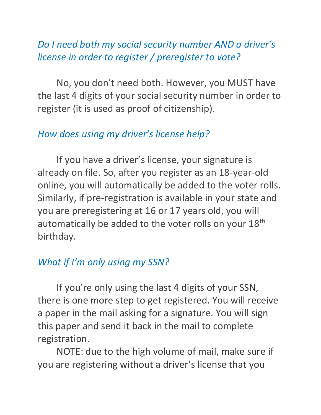## *Do I need both my social security number AND a driver's license in order to register / preregister to vote?*

No, you don't need both. However, you MUST have the last 4 digits of your social security number in order to register (it is used as proof of citizenship).

### *How does using my driver's license help?*

If you have a driver's license, your signature is already on file. So, after you register as an 18-year-old online, you will automatically be added to the voter rolls. Similarly, if pre-registration is available in your state and you are preregistering at 16 or 17 years old, you will automatically be added to the voter rolls on your 18<sup>th</sup> birthday.

### *What if I'm only using my SSN?*

If you're only using the last 4 digits of your SSN, there is one more step to get registered. You will receive a paper in the mail asking for a signature. You will sign this paper and send it back in the mail to complete registration.

NOTE: due to the high volume of mail, make sure if you are registering without a driver's license that you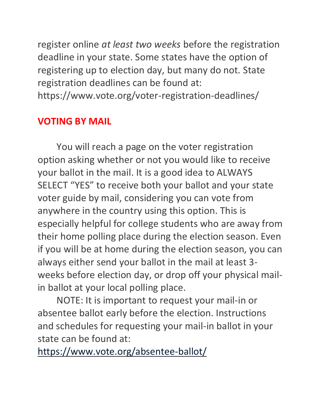register online *at least two weeks* before the registration deadline in your state. Some states have the option of registering up to election day, but many do not. State registration deadlines can be found at: https://www.vote.org/voter-registration-deadlines/

### **VOTING BY MAIL**

You will reach a page on the voter registration option asking whether or not you would like to receive your ballot in the mail. It is a good idea to ALWAYS SELECT "YES" to receive both your ballot and your state voter guide by mail, considering you can vote from anywhere in the country using this option. This is especially helpful for college students who are away from their home polling place during the election season. Even if you will be at home during the election season, you can always either send your ballot in the mail at least 3 weeks before election day, or drop off your physical mailin ballot at your local polling place.

NOTE: It is important to request your mail-in or absentee ballot early before the election. Instructions and schedules for requesting your mail-in ballot in your state can be found at:

<https://www.vote.org/absentee-ballot/>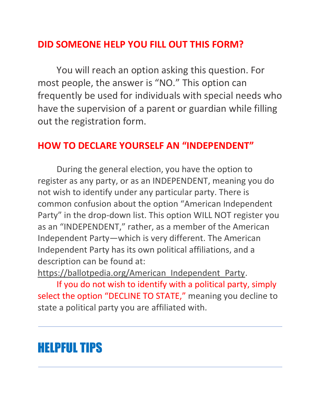## **DID SOMEONE HELP YOU FILL OUT THIS FORM?**

You will reach an option asking this question. For most people, the answer is "NO." This option can frequently be used for individuals with special needs who have the supervision of a parent or guardian while filling out the registration form.

#### **HOW TO DECLARE YOURSELF AN "INDEPENDENT"**

During the general election, you have the option to register as any party, or as an INDEPENDENT, meaning you do not wish to identify under any particular party. There is common confusion about the option "American Independent Party" in the drop-down list. This option WILL NOT register you as an "INDEPENDENT," rather, as a member of the American Independent Party—which is very different. The American Independent Party has its own political affiliations, and a description can be found at:

[https://ballotpedia.org/American\\_Independent\\_Party.](https://ballotpedia.org/American_Independent_Party)

If you do not wish to identify with a political party, simply select the option "DECLINE TO STATE," meaning you decline to state a political party you are affiliated with.

# HELPFUL TIPS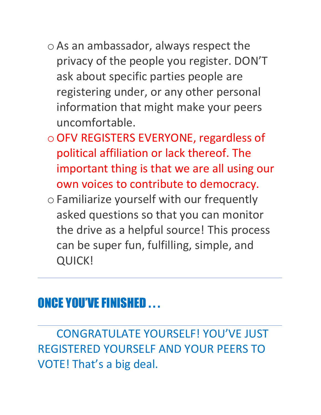- o As an ambassador, always respect the privacy of the people you register. DON'T ask about specific parties people are registering under, or any other personal information that might make your peers uncomfortable.
- oOFV REGISTERS EVERYONE, regardless of political affiliation or lack thereof. The important thing is that we are all using our own voices to contribute to democracy.
- o Familiarize yourself with our frequently asked questions so that you can monitor the drive as a helpful source! This process can be super fun, fulfilling, simple, and QUICK!

## ONCE YOU'VE FINISHED . . .

CONGRATULATE YOURSELF! YOU'VE JUST REGISTERED YOURSELF AND YOUR PEERS TO VOTE! That's a big deal.